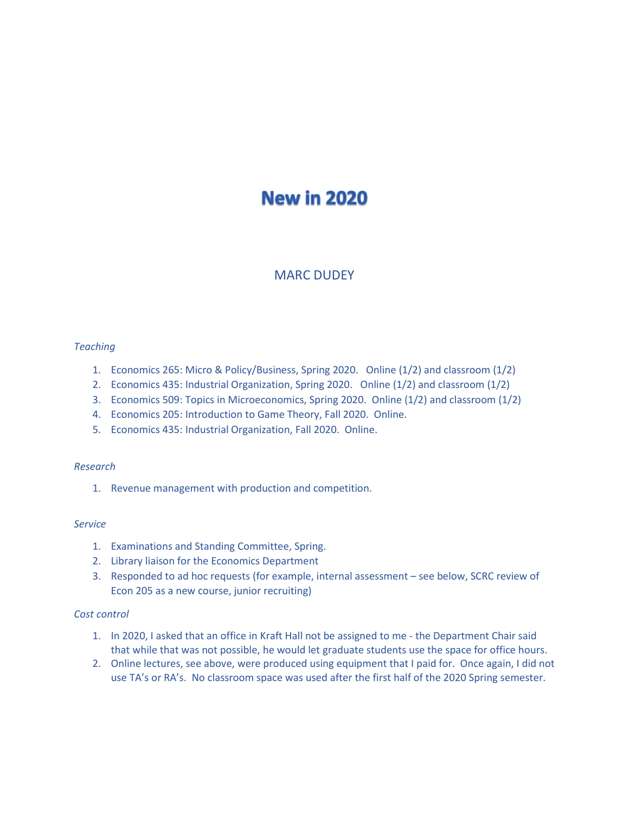# **New in 2020**

# MARC DUDEY

## *Teaching*

- 1. Economics 265: Micro & Policy/Business, Spring 2020. Online (1/2) and classroom (1/2)
- 2. Economics 435: Industrial Organization, Spring 2020. Online (1/2) and classroom (1/2)
- 3. Economics 509: Topics in Microeconomics, Spring 2020. Online (1/2) and classroom (1/2)
- 4. Economics 205: Introduction to Game Theory, Fall 2020. Online.
- 5. Economics 435: Industrial Organization, Fall 2020. Online.

## *Research*

1. Revenue management with production and competition.

## *Service*

- 1. Examinations and Standing Committee, Spring.
- 2. Library liaison for the Economics Department
- 3. Responded to ad hoc requests (for example, internal assessment see below, SCRC review of Econ 205 as a new course, junior recruiting)

# *Cost control*

- 1. In 2020, I asked that an office in Kraft Hall not be assigned to me the Department Chair said that while that was not possible, he would let graduate students use the space for office hours.
- 2. Online lectures, see above, were produced using equipment that I paid for. Once again, I did not use TA's or RA's. No classroom space was used after the first half of the 2020 Spring semester.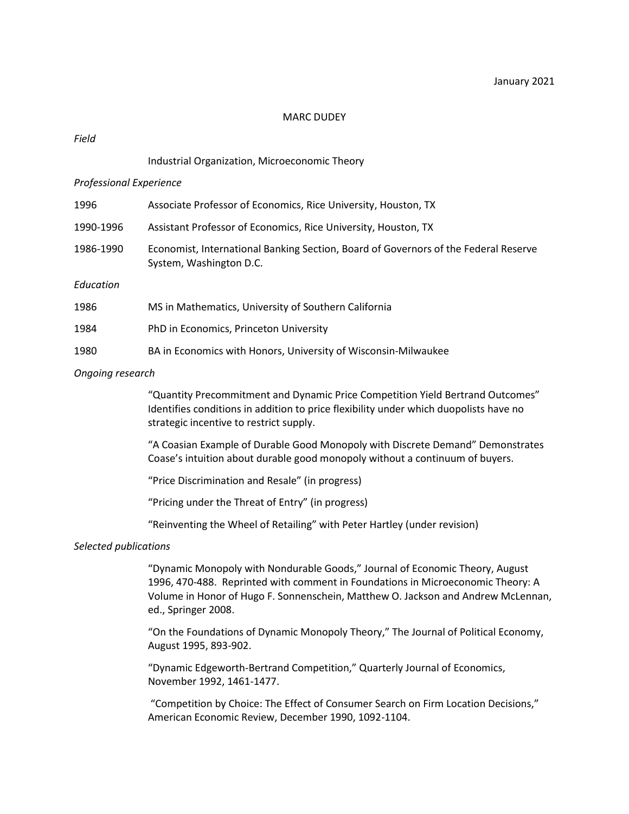#### MARC DUDEY

## *Field*

## Industrial Organization, Microeconomic Theory

#### *Professional Experience*

| 1996      | Associate Professor of Economics, Rice University, Houston, TX                                                 |
|-----------|----------------------------------------------------------------------------------------------------------------|
| 1990-1996 | Assistant Professor of Economics, Rice University, Houston, TX                                                 |
| 1986-1990 | Economist, International Banking Section, Board of Governors of the Federal Reserve<br>System, Washington D.C. |
| Education |                                                                                                                |
| 1986      | MS in Mathematics, University of Southern California                                                           |
| 1984      | PhD in Economics, Princeton University                                                                         |

1980 BA in Economics with Honors, University of Wisconsin-Milwaukee

#### *Ongoing research*

"Quantity Precommitment and Dynamic Price Competition Yield Bertrand Outcomes" Identifies conditions in addition to price flexibility under which duopolists have no strategic incentive to restrict supply.

"A Coasian Example of Durable Good Monopoly with Discrete Demand" Demonstrates Coase's intuition about durable good monopoly without a continuum of buyers.

"Price Discrimination and Resale" (in progress)

"Pricing under the Threat of Entry" (in progress)

"Reinventing the Wheel of Retailing" with Peter Hartley (under revision)

#### *Selected publications*

"Dynamic Monopoly with Nondurable Goods," Journal of Economic Theory, August 1996, 470-488. Reprinted with comment in Foundations in Microeconomic Theory: A Volume in Honor of Hugo F. Sonnenschein, Matthew O. Jackson and Andrew McLennan, ed., Springer 2008.

"On the Foundations of Dynamic Monopoly Theory," The Journal of Political Economy, August 1995, 893-902.

"Dynamic Edgeworth-Bertrand Competition," Quarterly Journal of Economics, November 1992, 1461-1477.

"Competition by Choice: The Effect of Consumer Search on Firm Location Decisions," American Economic Review, December 1990, 1092-1104.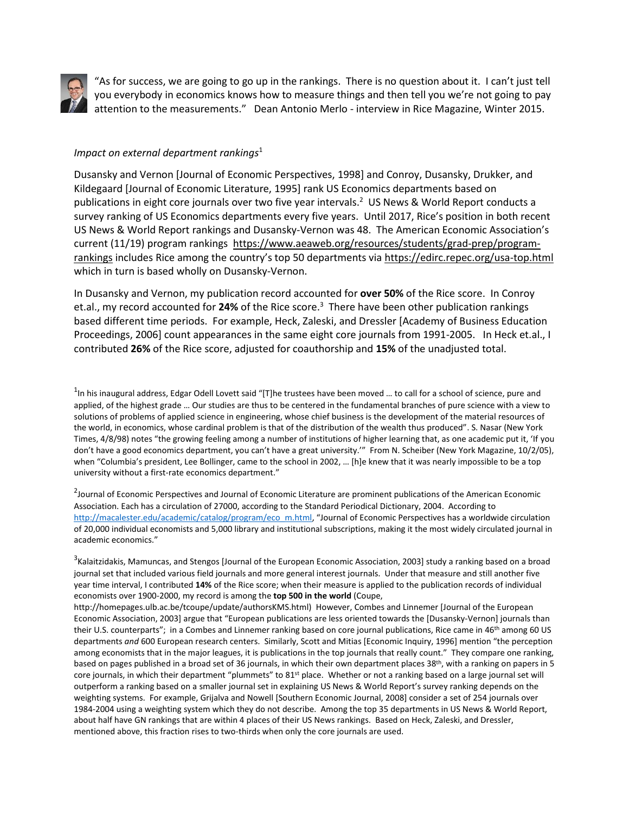

 $\vert$  "As for success, we are going to go up in the rankings. There is no question about it. I can't just tell you everybody in economics knows how to measure things and then tell you we're not going to pay attention to the measurements." Dean Antonio Merlo - interview in Rice Magazine, Winter 2015.

## *[Im](https://en.wikipedia.org/wiki/Antonio_Merlo)pact on external department rankings<sup>1</sup>*

[D](https://en.wikipedia.org/wiki/Antonio_Merlo)usansky and Vernon [Journal of Economic Perspectives, 1998] and Conroy, Dusansky, Drukker, and Kildegaard [Journal of Economic Literature, 1995] rank US Economics departments based on publications in eight core journals over two five year intervals.<sup>2</sup> US News & World Report conducts a survey ranking of US Economics departments every five years. Until 2017, Rice's position in both recent US News & World Report rankings and Dusansky-Vernon was 48. The American Economic Association's current (11/19) program rankings [https://www.aeaweb.org/resources/students/grad-prep/program](https://www.aeaweb.org/resources/students/grad-prep/program-rankings)[rankings](https://www.aeaweb.org/resources/students/grad-prep/program-rankings) includes Rice among the country's top 50 departments via <https://edirc.repec.org/usa-top.html> which in turn is based wholly on Dusansky-Vernon.

In Dusansky and Vernon, my publication record accounted for **over 50%** of the Rice score. In Conroy et.al., my record accounted for 24% of the Rice score.<sup>3</sup> There have been other publication rankings based different time periods. For example, Heck, Zaleski, and Dressler [Academy of Business Education Proceedings, 2006] count appearances in the same eight core journals from 1991-2005. In Heck et.al., I contributed **26%** of the Rice score, adjusted for coauthorship and **15%** of the unadjusted total.

 $1$ [In](https://creativecommons.org/licenses/by-sa/3.0/) his inaugural address, Edgar Odell Lovett said "[T]he trustees have been moved ... to call for a school of science, pure and [ap](https://creativecommons.org/licenses/by-sa/3.0/)plied, of the highest grade … Our studies are thus to be centered in the fundamental branches of pure science with a view to [so](https://creativecommons.org/licenses/by-sa/3.0/)lutions of problems of applied science in engineering, whose chief business is the development of the material resources of the world, in economics, whose cardinal problem is that of the distribution of the wealth thus produced". S. Nasar (New York Times, 4/8/98) notes "the growing feeling among a number of institutions of higher learning that, as one academic put it, 'If you don't have a good economics department, you can't have a great university.'" From N. Scheiber (New York Magazine, 10/2/05), when "Columbia's president, Lee Bollinger, came to the school in 2002, … [h]e knew that it was nearly impossible to be a top university without a first-rate economics department."

<sup>2</sup>Journal of Economic Perspectives and Journal of Economic Literature are prominent publications of the American Economic Association. Each has a circulation of 27000, according to the Standard Periodical Dictionary, 2004. According to [http://macalester.edu/academic/catalog/program/eco\\_m.html](http://macalester.edu/academic/catalog/program/eco_m.html), "Journal of Economic Perspectives has a worldwide circulation of 20,000 individual economists and 5,000 library and institutional subscriptions, making it the most widely circulated journal in academic economics."

 $^3$ Kalaitzidakis, Mamuncas, and Stengos [Journal of the European Economic Association, 2003] study a ranking based on a broad journal set that included various field journals and more general interest journals. Under that measure and still another five year time interval, I contributed **14%** of the Rice score; when their measure is applied to the publication records of individual economists over 1900-2000, my record is among the **top 500 in the world** (Coupe,

http://homepages.ulb.ac.be/tcoupe/update/authorsKMS.html) However, Combes and Linnemer [Journal of the European Economic Association, 2003] argue that "European publications are less oriented towards the [Dusansky-Vernon] journals than their U.S. counterparts"; in a Combes and Linnemer ranking based on core journal publications, Rice came in 46<sup>th</sup> among 60 US departments *and* 600 European research centers. Similarly, Scott and Mitias [Economic Inquiry, 1996] mention "the perception among economists that in the major leagues, it is publications in the top journals that really count." They compare one ranking, based on pages published in a broad set of 36 journals, in which their own department places 38<sup>th</sup>, with a ranking on papers in 5 core journals, in which their department "plummets" to 81<sup>st</sup> place. Whether or not a ranking based on a large journal set will outperform a ranking based on a smaller journal set in explaining US News & World Report's survey ranking depends on the weighting systems. For example, Grijalva and Nowell [Southern Economic Journal, 2008] consider a set of 254 journals over 1984-2004 using a weighting system which they do not describe. Among the top 35 departments in US News & World Report, about half have GN rankings that are within 4 places of their US News rankings. Based on Heck, Zaleski, and Dressler, mentioned above, this fraction rises to two-thirds when only the core journals are used.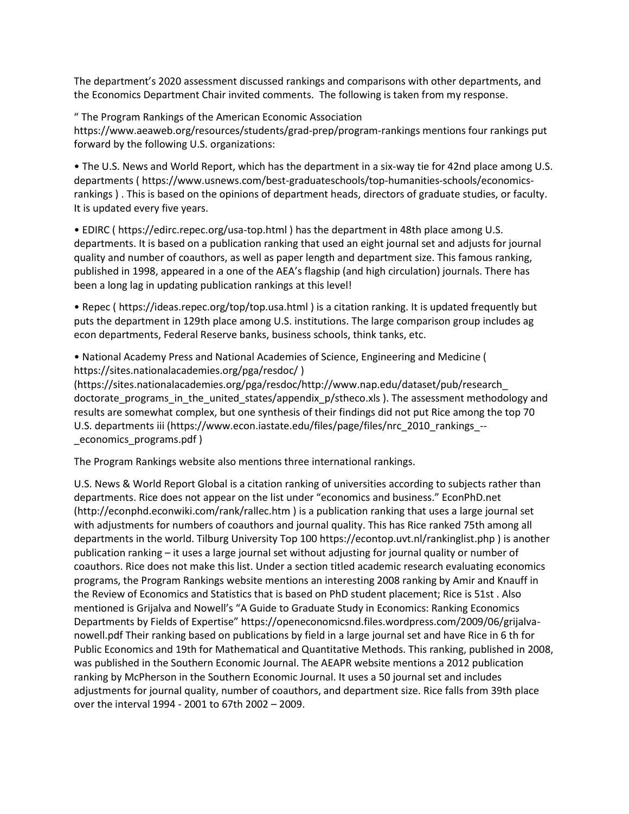The department's 2020 assessment discussed rankings and comparisons with other departments, and the Economics Department Chair invited comments. The following is taken from my response.

" The Program Rankings of the American Economic Association https://www.aeaweb.org/resources/students/grad-prep/program-rankings mentions four rankings put forward by the following U.S. organizations:

• The U.S. News and World Report, which has the department in a six-way tie for 42nd place among U.S. departments ( https://www.usnews.com/best-graduateschools/top-humanities-schools/economicsrankings ) . This is based on the opinions of department heads, directors of graduate studies, or faculty. It is updated every five years.

• EDIRC ( https://edirc.repec.org/usa-top.html ) has the department in 48th place among U.S. departments. It is based on a publication ranking that used an eight journal set and adjusts for journal quality and number of coauthors, as well as paper length and department size. This famous ranking, published in 1998, appeared in a one of the AEA's flagship (and high circulation) journals. There has been a long lag in updating publication rankings at this level!

• Repec ( https://ideas.repec.org/top/top.usa.html ) is a citation ranking. It is updated frequently but puts the department in 129th place among U.S. institutions. The large comparison group includes ag econ departments, Federal Reserve banks, business schools, think tanks, etc.

• National Academy Press and National Academies of Science, Engineering and Medicine ( https://sites.nationalacademies.org/pga/resdoc/ )

(https://sites.nationalacademies.org/pga/resdoc/http://www.nap.edu/dataset/pub/research\_ doctorate programs in the united states/appendix p/stheco.xls ). The assessment methodology and results are somewhat complex, but one synthesis of their findings did not put Rice among the top 70 U.S. departments iii (https://www.econ.iastate.edu/files/page/files/nrc\_2010\_rankings\_-- \_economics\_programs.pdf )

The Program Rankings website also mentions three international rankings.

U.S. News & World Report Global is a citation ranking of universities according to subjects rather than departments. Rice does not appear on the list under "economics and business." EconPhD.net (http://econphd.econwiki.com/rank/rallec.htm ) is a publication ranking that uses a large journal set with adjustments for numbers of coauthors and journal quality. This has Rice ranked 75th among all departments in the world. Tilburg University Top 100 https://econtop.uvt.nl/rankinglist.php ) is another publication ranking – it uses a large journal set without adjusting for journal quality or number of coauthors. Rice does not make this list. Under a section titled academic research evaluating economics programs, the Program Rankings website mentions an interesting 2008 ranking by Amir and Knauff in the Review of Economics and Statistics that is based on PhD student placement; Rice is 51st . Also mentioned is Grijalva and Nowell's "A Guide to Graduate Study in Economics: Ranking Economics Departments by Fields of Expertise" https://openeconomicsnd.files.wordpress.com/2009/06/grijalvanowell.pdf Their ranking based on publications by field in a large journal set and have Rice in 6 th for Public Economics and 19th for Mathematical and Quantitative Methods. This ranking, published in 2008, was published in the Southern Economic Journal. The AEAPR website mentions a 2012 publication ranking by McPherson in the Southern Economic Journal. It uses a 50 journal set and includes adjustments for journal quality, number of coauthors, and department size. Rice falls from 39th place over the interval 1994 - 2001 to 67th 2002 – 2009.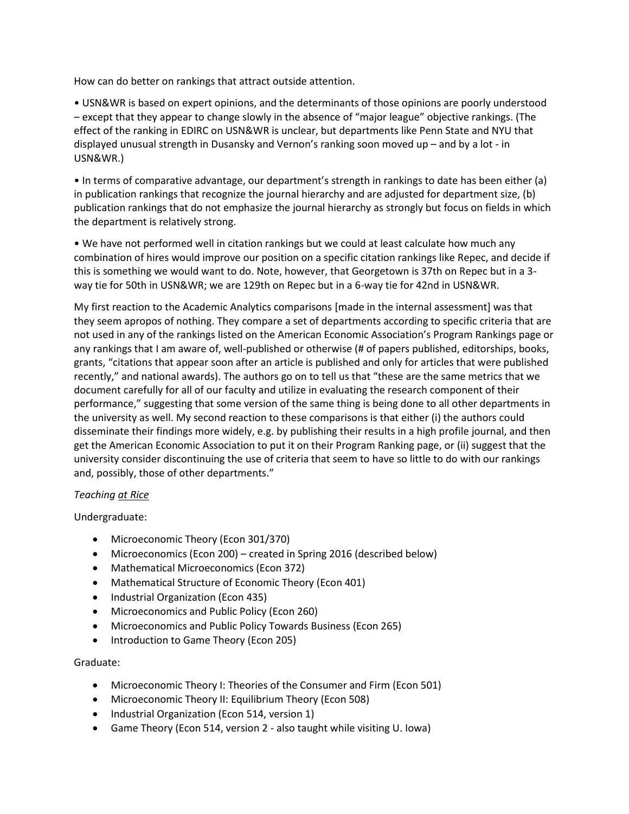How can do better on rankings that attract outside attention.

• USN&WR is based on expert opinions, and the determinants of those opinions are poorly understood – except that they appear to change slowly in the absence of "major league" objective rankings. (The effect of the ranking in EDIRC on USN&WR is unclear, but departments like Penn State and NYU that displayed unusual strength in Dusansky and Vernon's ranking soon moved up – and by a lot - in USN&WR.)

• In terms of comparative advantage, our department's strength in rankings to date has been either (a) in publication rankings that recognize the journal hierarchy and are adjusted for department size, (b) publication rankings that do not emphasize the journal hierarchy as strongly but focus on fields in which the department is relatively strong.

• We have not performed well in citation rankings but we could at least calculate how much any combination of hires would improve our position on a specific citation rankings like Repec, and decide if this is something we would want to do. Note, however, that Georgetown is 37th on Repec but in a 3 way tie for 50th in USN≀ we are 129th on Repec but in a 6-way tie for 42nd in USN&WR.

My first reaction to the Academic Analytics comparisons [made in the internal assessment] was that they seem apropos of nothing. They compare a set of departments according to specific criteria that are not used in any of the rankings listed on the American Economic Association's Program Rankings page or any rankings that I am aware of, well-published or otherwise (# of papers published, editorships, books, grants, "citations that appear soon after an article is published and only for articles that were published recently," and national awards). The authors go on to tell us that "these are the same metrics that we document carefully for all of our faculty and utilize in evaluating the research component of their performance," suggesting that some version of the same thing is being done to all other departments in the university as well. My second reaction to these comparisons is that either (i) the authors could disseminate their findings more widely, e.g. by publishing their results in a high profile journal, and then get the American Economic Association to put it on their Program Ranking page, or (ii) suggest that the university consider discontinuing the use of criteria that seem to have so little to do with our rankings and, possibly, those of other departments."

# *Teaching at Rice*

Undergraduate:

- Microeconomic Theory (Econ 301/370)
- Microeconomics (Econ 200) created in Spring 2016 (described below)
- Mathematical Microeconomics (Econ 372)
- Mathematical Structure of Economic Theory (Econ 401)
- Industrial Organization (Econ 435)
- Microeconomics and Public Policy (Econ 260)
- Microeconomics and Public Policy Towards Business (Econ 265)
- Introduction to Game Theory (Econ 205)

# Graduate:

- Microeconomic Theory I: Theories of the Consumer and Firm (Econ 501)
- Microeconomic Theory II: Equilibrium Theory (Econ 508)
- Industrial Organization (Econ 514, version 1)
- Game Theory (Econ 514, version 2 also taught while visiting U. Iowa)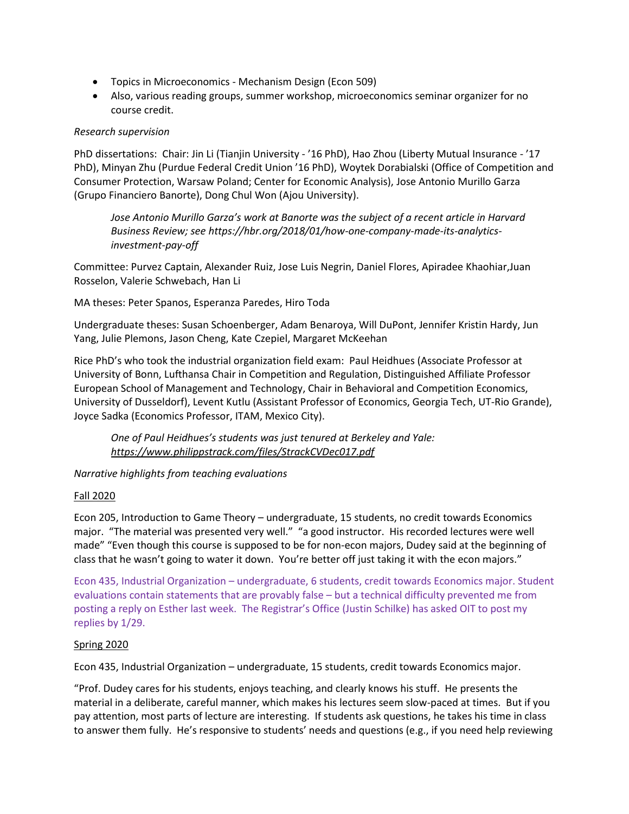- Topics in Microeconomics Mechanism Design (Econ 509)
- Also, various reading groups, summer workshop, microeconomics seminar organizer for no course credit.

## *Research supervision*

PhD dissertations: Chair: Jin Li (Tianjin University - '16 PhD), Hao Zhou (Liberty Mutual Insurance - '17 PhD), Minyan Zhu (Purdue Federal Credit Union '16 PhD), Woytek Dorabialski (Office of Competition and Consumer Protection, Warsaw Poland; Center for Economic Analysis), Jose Antonio Murillo Garza (Grupo Financiero Banorte), Dong Chul Won (Ajou University).

*Jose Antonio Murillo Garza's work at Banorte was the subject of a recent article in Harvard Business Review; see https://hbr.org/2018/01/how-one-company-made-its-analyticsinvestment-pay-off*

Committee: Purvez Captain, Alexander Ruiz, Jose Luis Negrin, Daniel Flores, Apiradee Khaohiar,Juan Rosselon, Valerie Schwebach, Han Li

MA theses: Peter Spanos, Esperanza Paredes, Hiro Toda

Undergraduate theses: Susan Schoenberger, Adam Benaroya, Will DuPont, Jennifer Kristin Hardy, Jun Yang, Julie Plemons, Jason Cheng, Kate Czepiel, Margaret McKeehan

Rice PhD's who took the industrial organization field exam: Paul Heidhues (Associate Professor at University of Bonn, Lufthansa Chair in Competition and Regulation, Distinguished Affiliate Professor European School of Management and Technology, Chair in Behavioral and Competition Economics, University of Dusseldorf), Levent Kutlu (Assistant Professor of Economics, Georgia Tech, UT-Rio Grande), Joyce Sadka (Economics Professor, ITAM, Mexico City).

*One of Paul Heidhues's students was just tenured at Berkeley and Yale: <https://www.philippstrack.com/files/StrackCVDec017.pdf>* 

*Narrative highlights from teaching evaluations*

# Fall 2020

Econ 205, Introduction to Game Theory – undergraduate, 15 students, no credit towards Economics major. "The material was presented very well." "a good instructor. His recorded lectures were well made" "Even though this course is supposed to be for non-econ majors, Dudey said at the beginning of class that he wasn't going to water it down. You're better off just taking it with the econ majors."

Econ 435, Industrial Organization – undergraduate, 6 students, credit towards Economics major. Student evaluations contain statements that are provably false – but a technical difficulty prevented me from posting a reply on Esther last week. The Registrar's Office (Justin Schilke) has asked OIT to post my replies by 1/29.

## Spring 2020

Econ 435, Industrial Organization – undergraduate, 15 students, credit towards Economics major.

"Prof. Dudey cares for his students, enjoys teaching, and clearly knows his stuff. He presents the material in a deliberate, careful manner, which makes his lectures seem slow-paced at times. But if you pay attention, most parts of lecture are interesting. If students ask questions, he takes his time in class to answer them fully. He's responsive to students' needs and questions (e.g., if you need help reviewing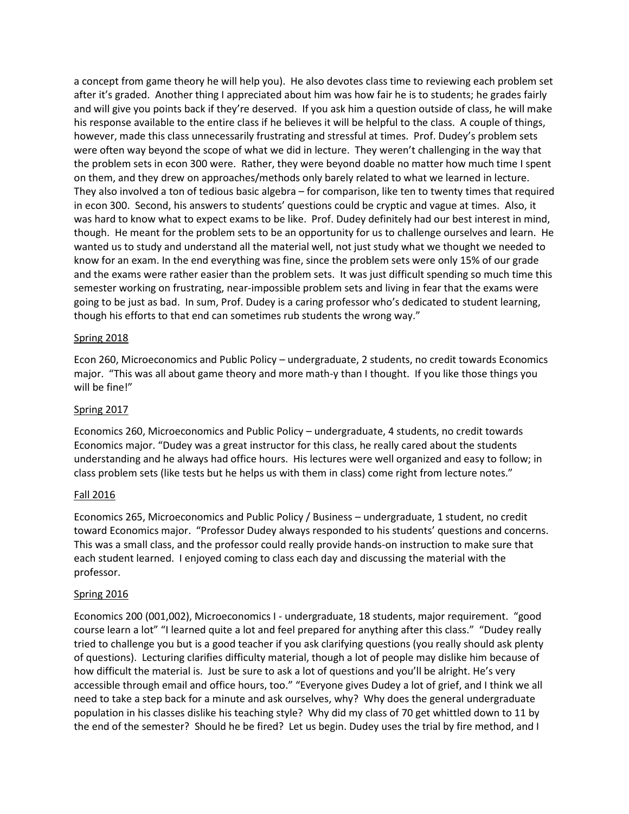a concept from game theory he will help you). He also devotes class time to reviewing each problem set after it's graded. Another thing I appreciated about him was how fair he is to students; he grades fairly and will give you points back if they're deserved. If you ask him a question outside of class, he will make his response available to the entire class if he believes it will be helpful to the class. A couple of things, however, made this class unnecessarily frustrating and stressful at times. Prof. Dudey's problem sets were often way beyond the scope of what we did in lecture. They weren't challenging in the way that the problem sets in econ 300 were. Rather, they were beyond doable no matter how much time I spent on them, and they drew on approaches/methods only barely related to what we learned in lecture. They also involved a ton of tedious basic algebra – for comparison, like ten to twenty times that required in econ 300. Second, his answers to students' questions could be cryptic and vague at times. Also, it was hard to know what to expect exams to be like. Prof. Dudey definitely had our best interest in mind, though. He meant for the problem sets to be an opportunity for us to challenge ourselves and learn. He wanted us to study and understand all the material well, not just study what we thought we needed to know for an exam. In the end everything was fine, since the problem sets were only 15% of our grade and the exams were rather easier than the problem sets. It was just difficult spending so much time this semester working on frustrating, near-impossible problem sets and living in fear that the exams were going to be just as bad. In sum, Prof. Dudey is a caring professor who's dedicated to student learning, though his efforts to that end can sometimes rub students the wrong way."

## Spring 2018

Econ 260, Microeconomics and Public Policy – undergraduate, 2 students, no credit towards Economics major. "This was all about game theory and more math-y than I thought. If you like those things you will be fine!"

## Spring 2017

Economics 260, Microeconomics and Public Policy – undergraduate, 4 students, no credit towards Economics major. "Dudey was a great instructor for this class, he really cared about the students understanding and he always had office hours. His lectures were well organized and easy to follow; in class problem sets (like tests but he helps us with them in class) come right from lecture notes."

## Fall 2016

Economics 265, Microeconomics and Public Policy / Business – undergraduate, 1 student, no credit toward Economics major. "Professor Dudey always responded to his students' questions and concerns. This was a small class, and the professor could really provide hands-on instruction to make sure that each student learned. I enjoyed coming to class each day and discussing the material with the professor.

## Spring 2016

Economics 200 (001,002), Microeconomics I - undergraduate, 18 students, major requirement. "good course learn a lot" "I learned quite a lot and feel prepared for anything after this class." "Dudey really tried to challenge you but is a good teacher if you ask clarifying questions (you really should ask plenty of questions). Lecturing clarifies difficulty material, though a lot of people may dislike him because of how difficult the material is. Just be sure to ask a lot of questions and you'll be alright. He's very accessible through email and office hours, too." "Everyone gives Dudey a lot of grief, and I think we all need to take a step back for a minute and ask ourselves, why? Why does the general undergraduate population in his classes dislike his teaching style? Why did my class of 70 get whittled down to 11 by the end of the semester? Should he be fired? Let us begin. Dudey uses the trial by fire method, and I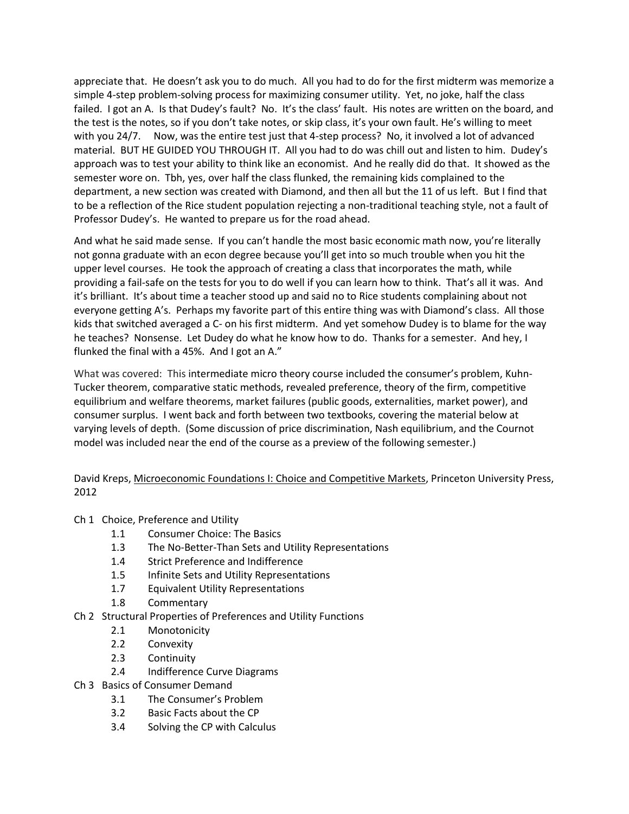appreciate that. He doesn't ask you to do much. All you had to do for the first midterm was memorize a simple 4-step problem-solving process for maximizing consumer utility. Yet, no joke, half the class failed. I got an A. Is that Dudey's fault? No. It's the class' fault. His notes are written on the board, and the test is the notes, so if you don't take notes, or skip class, it's your own fault. He's willing to meet with you 24/7. Now, was the entire test just that 4-step process? No, it involved a lot of advanced material. BUT HE GUIDED YOU THROUGH IT. All you had to do was chill out and listen to him. Dudey's approach was to test your ability to think like an economist. And he really did do that. It showed as the semester wore on. Tbh, yes, over half the class flunked, the remaining kids complained to the department, a new section was created with Diamond, and then all but the 11 of us left. But I find that to be a reflection of the Rice student population rejecting a non-traditional teaching style, not a fault of Professor Dudey's. He wanted to prepare us for the road ahead.

And what he said made sense. If you can't handle the most basic economic math now, you're literally not gonna graduate with an econ degree because you'll get into so much trouble when you hit the upper level courses. He took the approach of creating a class that incorporates the math, while providing a fail-safe on the tests for you to do well if you can learn how to think. That's all it was. And it's brilliant. It's about time a teacher stood up and said no to Rice students complaining about not everyone getting A's. Perhaps my favorite part of this entire thing was with Diamond's class. All those kids that switched averaged a C- on his first midterm. And yet somehow Dudey is to blame for the way he teaches? Nonsense. Let Dudey do what he know how to do. Thanks for a semester. And hey, I flunked the final with a 45%. And I got an A."

What was covered: This intermediate micro theory course included the consumer's problem, Kuhn-Tucker theorem, comparative static methods, revealed preference, theory of the firm, competitive equilibrium and welfare theorems, market failures (public goods, externalities, market power), and consumer surplus. I went back and forth between two textbooks, covering the material below at varying levels of depth. (Some discussion of price discrimination, Nash equilibrium, and the Cournot model was included near the end of the course as a preview of the following semester.)

David Kreps, Microeconomic Foundations I: Choice and Competitive Markets, Princeton University Press, 2012

Ch 1 Choice, Preference and Utility

- 1.1 Consumer Choice: The Basics
- 1.3 The No-Better-Than Sets and Utility Representations
- 1.4 Strict Preference and Indifference
- 1.5 Infinite Sets and Utility Representations
- 1.7 Equivalent Utility Representations
- 1.8 Commentary
- Ch 2 Structural Properties of Preferences and Utility Functions
	- 2.1 Monotonicity
	- 2.2 Convexity
	- 2.3 Continuity
	- 2.4 Indifference Curve Diagrams
- Ch 3 Basics of Consumer Demand
	- 3.1 The Consumer's Problem
	- 3.2 Basic Facts about the CP
	- 3.4 Solving the CP with Calculus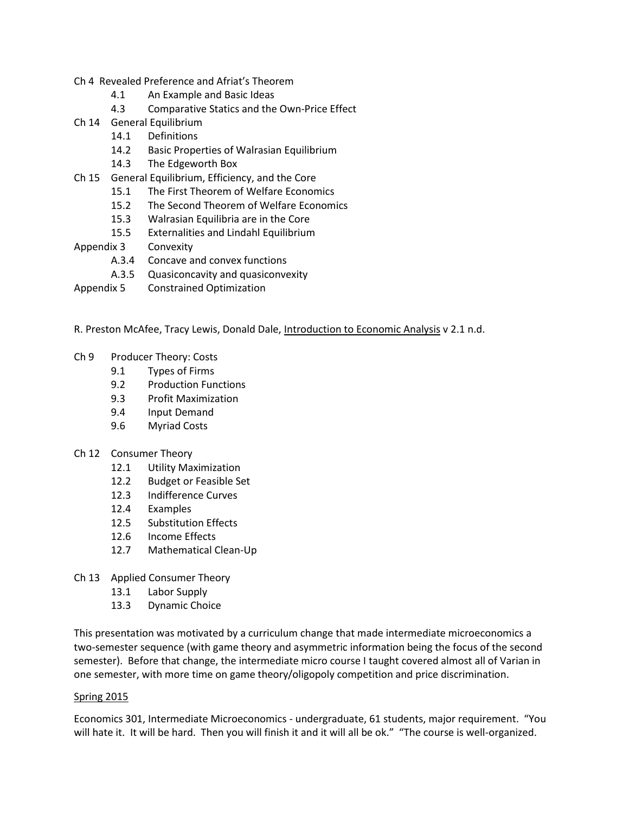- Ch 4 Revealed Preference and Afriat's Theorem
	- 4.1 An Example and Basic Ideas
	- 4.3 Comparative Statics and the Own-Price Effect
- Ch 14 General Equilibrium
	- 14.1 Definitions
	- 14.2 Basic Properties of Walrasian Equilibrium
	- 14.3 The Edgeworth Box
- Ch 15 General Equilibrium, Efficiency, and the Core
	- 15.1 The First Theorem of Welfare Economics
	- 15.2 The Second Theorem of Welfare Economics
	- 15.3 Walrasian Equilibria are in the Core
	- 15.5 Externalities and Lindahl Equilibrium
- Appendix 3 Convexity
	- A.3.4 Concave and convex functions
	- A.3.5 Quasiconcavity and quasiconvexity
- Appendix 5 Constrained Optimization
- R. Preston McAfee, Tracy Lewis, Donald Dale, Introduction to Economic Analysis v 2.1 n.d.
- Ch 9 Producer Theory: Costs
	- 9.1 Types of Firms
	- 9.2 Production Functions
	- 9.3 Profit Maximization
	- 9.4 Input Demand
	- 9.6 Myriad Costs
- Ch 12 Consumer Theory
	- 12.1 Utility Maximization
	- 12.2 Budget or Feasible Set
	- 12.3 Indifference Curves
	- 12.4 Examples
	- 12.5 Substitution Effects
	- 12.6 Income Effects
	- 12.7 Mathematical Clean-Up
- Ch 13 Applied Consumer Theory
	- 13.1 Labor Supply
	- 13.3 Dynamic Choice

This presentation was motivated by a curriculum change that made intermediate microeconomics a two-semester sequence (with game theory and asymmetric information being the focus of the second semester). Before that change, the intermediate micro course I taught covered almost all of Varian in one semester, with more time on game theory/oligopoly competition and price discrimination.

## Spring 2015

Economics 301, Intermediate Microeconomics - undergraduate, 61 students, major requirement. "You will hate it. It will be hard. Then you will finish it and it will all be ok." "The course is well-organized.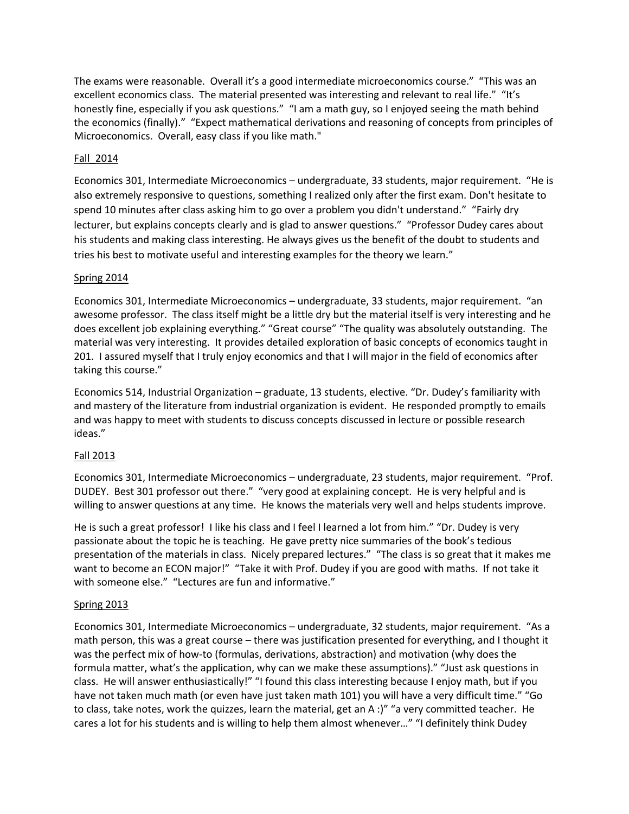The exams were reasonable. Overall it's a good intermediate microeconomics course." "This was an excellent economics class. The material presented was interesting and relevant to real life." "It's honestly fine, especially if you ask questions." "I am a math guy, so I enjoyed seeing the math behind the economics (finally)." "Expect mathematical derivations and reasoning of concepts from principles of Microeconomics. Overall, easy class if you like math."

# Fall\_2014

Economics 301, Intermediate Microeconomics – undergraduate, 33 students, major requirement. "He is also extremely responsive to questions, something I realized only after the first exam. Don't hesitate to spend 10 minutes after class asking him to go over a problem you didn't understand." "Fairly dry lecturer, but explains concepts clearly and is glad to answer questions." "Professor Dudey cares about his students and making class interesting. He always gives us the benefit of the doubt to students and tries his best to motivate useful and interesting examples for the theory we learn."

# Spring 2014

Economics 301, Intermediate Microeconomics – undergraduate, 33 students, major requirement. "an awesome professor. The class itself might be a little dry but the material itself is very interesting and he does excellent job explaining everything." "Great course" "The quality was absolutely outstanding. The material was very interesting. It provides detailed exploration of basic concepts of economics taught in 201. I assured myself that I truly enjoy economics and that I will major in the field of economics after taking this course."

Economics 514, Industrial Organization – graduate, 13 students, elective. "Dr. Dudey's familiarity with and mastery of the literature from industrial organization is evident. He responded promptly to emails and was happy to meet with students to discuss concepts discussed in lecture or possible research ideas."

# Fall 2013

Economics 301, Intermediate Microeconomics – undergraduate, 23 students, major requirement. "Prof. DUDEY. Best 301 professor out there." "very good at explaining concept. He is very helpful and is willing to answer questions at any time. He knows the materials very well and helps students improve.

He is such a great professor! I like his class and I feel I learned a lot from him." "Dr. Dudey is very passionate about the topic he is teaching. He gave pretty nice summaries of the book's tedious presentation of the materials in class. Nicely prepared lectures." "The class is so great that it makes me want to become an ECON major!" "Take it with Prof. Dudey if you are good with maths. If not take it with someone else." "Lectures are fun and informative."

# Spring 2013

Economics 301, Intermediate Microeconomics – undergraduate, 32 students, major requirement. "As a math person, this was a great course – there was justification presented for everything, and I thought it was the perfect mix of how-to (formulas, derivations, abstraction) and motivation (why does the formula matter, what's the application, why can we make these assumptions)." "Just ask questions in class. He will answer enthusiastically!" "I found this class interesting because I enjoy math, but if you have not taken much math (or even have just taken math 101) you will have a very difficult time." "Go to class, take notes, work the quizzes, learn the material, get an A :)" "a very committed teacher. He cares a lot for his students and is willing to help them almost whenever…" "I definitely think Dudey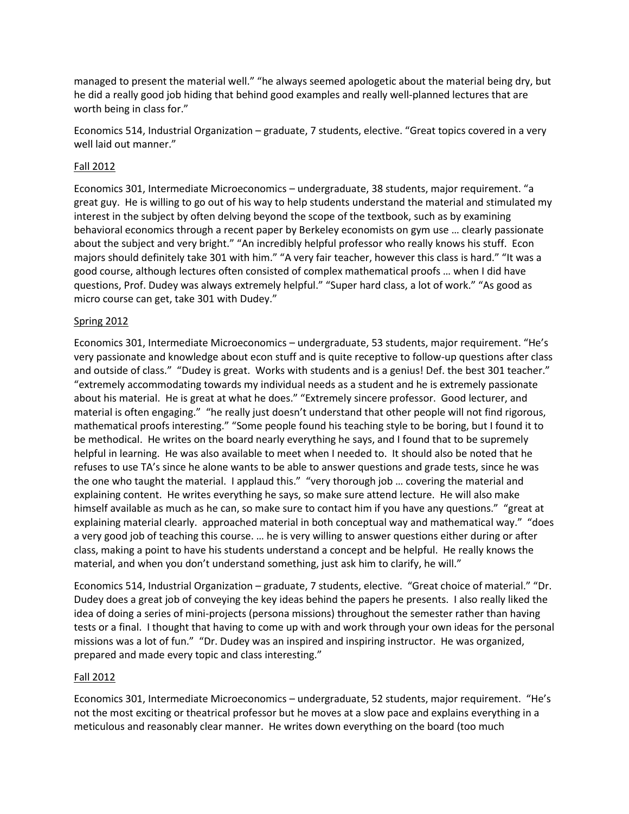managed to present the material well." "he always seemed apologetic about the material being dry, but he did a really good job hiding that behind good examples and really well-planned lectures that are worth being in class for."

Economics 514, Industrial Organization – graduate, 7 students, elective. "Great topics covered in a very well laid out manner."

# Fall 2012

Economics 301, Intermediate Microeconomics – undergraduate, 38 students, major requirement. "a great guy. He is willing to go out of his way to help students understand the material and stimulated my interest in the subject by often delving beyond the scope of the textbook, such as by examining behavioral economics through a recent paper by Berkeley economists on gym use … clearly passionate about the subject and very bright." "An incredibly helpful professor who really knows his stuff. Econ majors should definitely take 301 with him." "A very fair teacher, however this class is hard." "It was a good course, although lectures often consisted of complex mathematical proofs … when I did have questions, Prof. Dudey was always extremely helpful." "Super hard class, a lot of work." "As good as micro course can get, take 301 with Dudey."

# Spring 2012

Economics 301, Intermediate Microeconomics – undergraduate, 53 students, major requirement. "He's very passionate and knowledge about econ stuff and is quite receptive to follow-up questions after class and outside of class." "Dudey is great. Works with students and is a genius! Def. the best 301 teacher." "extremely accommodating towards my individual needs as a student and he is extremely passionate about his material. He is great at what he does." "Extremely sincere professor. Good lecturer, and material is often engaging." "he really just doesn't understand that other people will not find rigorous, mathematical proofs interesting." "Some people found his teaching style to be boring, but I found it to be methodical. He writes on the board nearly everything he says, and I found that to be supremely helpful in learning. He was also available to meet when I needed to. It should also be noted that he refuses to use TA's since he alone wants to be able to answer questions and grade tests, since he was the one who taught the material. I applaud this." "very thorough job … covering the material and explaining content. He writes everything he says, so make sure attend lecture. He will also make himself available as much as he can, so make sure to contact him if you have any questions." "great at explaining material clearly. approached material in both conceptual way and mathematical way." "does a very good job of teaching this course. … he is very willing to answer questions either during or after class, making a point to have his students understand a concept and be helpful. He really knows the material, and when you don't understand something, just ask him to clarify, he will."

Economics 514, Industrial Organization – graduate, 7 students, elective. "Great choice of material." "Dr. Dudey does a great job of conveying the key ideas behind the papers he presents. I also really liked the idea of doing a series of mini-projects (persona missions) throughout the semester rather than having tests or a final. I thought that having to come up with and work through your own ideas for the personal missions was a lot of fun." "Dr. Dudey was an inspired and inspiring instructor. He was organized, prepared and made every topic and class interesting."

# Fall 2012

Economics 301, Intermediate Microeconomics – undergraduate, 52 students, major requirement. "He's not the most exciting or theatrical professor but he moves at a slow pace and explains everything in a meticulous and reasonably clear manner. He writes down everything on the board (too much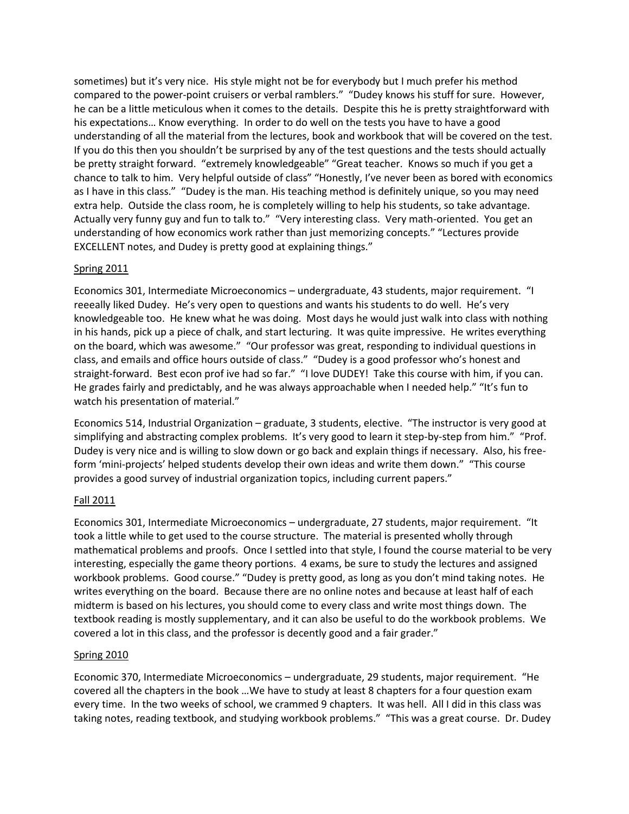sometimes) but it's very nice. His style might not be for everybody but I much prefer his method compared to the power-point cruisers or verbal ramblers." "Dudey knows his stuff for sure. However, he can be a little meticulous when it comes to the details. Despite this he is pretty straightforward with his expectations… Know everything. In order to do well on the tests you have to have a good understanding of all the material from the lectures, book and workbook that will be covered on the test. If you do this then you shouldn't be surprised by any of the test questions and the tests should actually be pretty straight forward. "extremely knowledgeable" "Great teacher. Knows so much if you get a chance to talk to him. Very helpful outside of class" "Honestly, I've never been as bored with economics as I have in this class." "Dudey is the man. His teaching method is definitely unique, so you may need extra help. Outside the class room, he is completely willing to help his students, so take advantage. Actually very funny guy and fun to talk to." "Very interesting class. Very math-oriented. You get an understanding of how economics work rather than just memorizing concepts." "Lectures provide EXCELLENT notes, and Dudey is pretty good at explaining things."

# Spring 2011

Economics 301, Intermediate Microeconomics – undergraduate, 43 students, major requirement. "I reeeally liked Dudey. He's very open to questions and wants his students to do well. He's very knowledgeable too. He knew what he was doing. Most days he would just walk into class with nothing in his hands, pick up a piece of chalk, and start lecturing. It was quite impressive. He writes everything on the board, which was awesome." "Our professor was great, responding to individual questions in class, and emails and office hours outside of class." "Dudey is a good professor who's honest and straight-forward. Best econ prof ive had so far." "I love DUDEY! Take this course with him, if you can. He grades fairly and predictably, and he was always approachable when I needed help." "It's fun to watch his presentation of material."

Economics 514, Industrial Organization – graduate, 3 students, elective. "The instructor is very good at simplifying and abstracting complex problems. It's very good to learn it step-by-step from him." "Prof. Dudey is very nice and is willing to slow down or go back and explain things if necessary. Also, his freeform 'mini-projects' helped students develop their own ideas and write them down." "This course provides a good survey of industrial organization topics, including current papers."

# Fall 2011

Economics 301, Intermediate Microeconomics – undergraduate, 27 students, major requirement. "It took a little while to get used to the course structure. The material is presented wholly through mathematical problems and proofs. Once I settled into that style, I found the course material to be very interesting, especially the game theory portions. 4 exams, be sure to study the lectures and assigned workbook problems. Good course." "Dudey is pretty good, as long as you don't mind taking notes. He writes everything on the board. Because there are no online notes and because at least half of each midterm is based on his lectures, you should come to every class and write most things down. The textbook reading is mostly supplementary, and it can also be useful to do the workbook problems. We covered a lot in this class, and the professor is decently good and a fair grader."

# Spring 2010

Economic 370, Intermediate Microeconomics – undergraduate, 29 students, major requirement. "He covered all the chapters in the book …We have to study at least 8 chapters for a four question exam every time. In the two weeks of school, we crammed 9 chapters. It was hell. All I did in this class was taking notes, reading textbook, and studying workbook problems." "This was a great course. Dr. Dudey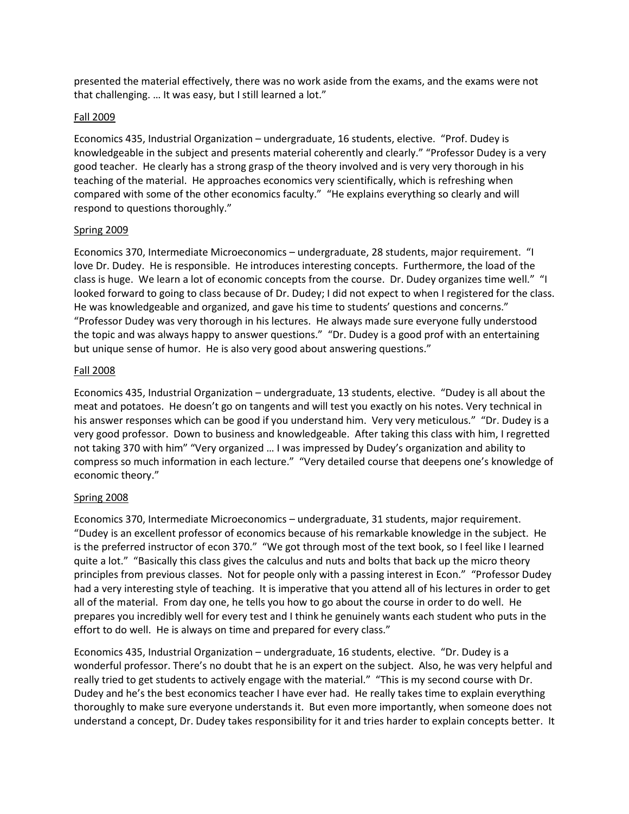presented the material effectively, there was no work aside from the exams, and the exams were not that challenging. … It was easy, but I still learned a lot."

# Fall 2009

Economics 435, Industrial Organization – undergraduate, 16 students, elective. "Prof. Dudey is knowledgeable in the subject and presents material coherently and clearly." "Professor Dudey is a very good teacher. He clearly has a strong grasp of the theory involved and is very very thorough in his teaching of the material. He approaches economics very scientifically, which is refreshing when compared with some of the other economics faculty." "He explains everything so clearly and will respond to questions thoroughly."

# Spring 2009

Economics 370, Intermediate Microeconomics – undergraduate, 28 students, major requirement. "I love Dr. Dudey. He is responsible. He introduces interesting concepts. Furthermore, the load of the class is huge. We learn a lot of economic concepts from the course. Dr. Dudey organizes time well." "I looked forward to going to class because of Dr. Dudey; I did not expect to when I registered for the class. He was knowledgeable and organized, and gave his time to students' questions and concerns." "Professor Dudey was very thorough in his lectures. He always made sure everyone fully understood the topic and was always happy to answer questions." "Dr. Dudey is a good prof with an entertaining but unique sense of humor. He is also very good about answering questions."

# Fall 2008

Economics 435, Industrial Organization – undergraduate, 13 students, elective. "Dudey is all about the meat and potatoes. He doesn't go on tangents and will test you exactly on his notes. Very technical in his answer responses which can be good if you understand him. Very very meticulous." "Dr. Dudey is a very good professor. Down to business and knowledgeable. After taking this class with him, I regretted not taking 370 with him" "Very organized … I was impressed by Dudey's organization and ability to compress so much information in each lecture." "Very detailed course that deepens one's knowledge of economic theory."

# Spring 2008

Economics 370, Intermediate Microeconomics – undergraduate, 31 students, major requirement. "Dudey is an excellent professor of economics because of his remarkable knowledge in the subject. He is the preferred instructor of econ 370." "We got through most of the text book, so I feel like I learned quite a lot." "Basically this class gives the calculus and nuts and bolts that back up the micro theory principles from previous classes. Not for people only with a passing interest in Econ." "Professor Dudey had a very interesting style of teaching. It is imperative that you attend all of his lectures in order to get all of the material. From day one, he tells you how to go about the course in order to do well. He prepares you incredibly well for every test and I think he genuinely wants each student who puts in the effort to do well. He is always on time and prepared for every class."

Economics 435, Industrial Organization – undergraduate, 16 students, elective. "Dr. Dudey is a wonderful professor. There's no doubt that he is an expert on the subject. Also, he was very helpful and really tried to get students to actively engage with the material." "This is my second course with Dr. Dudey and he's the best economics teacher I have ever had. He really takes time to explain everything thoroughly to make sure everyone understands it. But even more importantly, when someone does not understand a concept, Dr. Dudey takes responsibility for it and tries harder to explain concepts better. It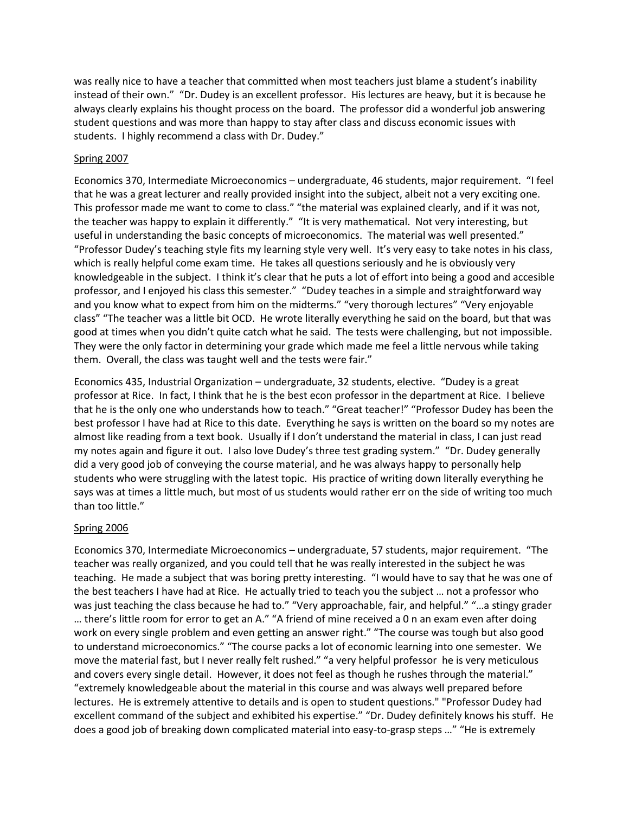was really nice to have a teacher that committed when most teachers just blame a student's inability instead of their own." "Dr. Dudey is an excellent professor. His lectures are heavy, but it is because he always clearly explains his thought process on the board. The professor did a wonderful job answering student questions and was more than happy to stay after class and discuss economic issues with students. I highly recommend a class with Dr. Dudey."

# Spring 2007

Economics 370, Intermediate Microeconomics – undergraduate, 46 students, major requirement. "I feel that he was a great lecturer and really provided insight into the subject, albeit not a very exciting one. This professor made me want to come to class." "the material was explained clearly, and if it was not, the teacher was happy to explain it differently." "It is very mathematical. Not very interesting, but useful in understanding the basic concepts of microeconomics. The material was well presented." "Professor Dudey's teaching style fits my learning style very well. It's very easy to take notes in his class, which is really helpful come exam time. He takes all questions seriously and he is obviously very knowledgeable in the subject. I think it's clear that he puts a lot of effort into being a good and accesible professor, and I enjoyed his class this semester." "Dudey teaches in a simple and straightforward way and you know what to expect from him on the midterms." "very thorough lectures" "Very enjoyable class" "The teacher was a little bit OCD. He wrote literally everything he said on the board, but that was good at times when you didn't quite catch what he said. The tests were challenging, but not impossible. They were the only factor in determining your grade which made me feel a little nervous while taking them. Overall, the class was taught well and the tests were fair."

Economics 435, Industrial Organization – undergraduate, 32 students, elective. "Dudey is a great professor at Rice. In fact, I think that he is the best econ professor in the department at Rice. I believe that he is the only one who understands how to teach." "Great teacher!" "Professor Dudey has been the best professor I have had at Rice to this date. Everything he says is written on the board so my notes are almost like reading from a text book. Usually if I don't understand the material in class, I can just read my notes again and figure it out. I also love Dudey's three test grading system." "Dr. Dudey generally did a very good job of conveying the course material, and he was always happy to personally help students who were struggling with the latest topic. His practice of writing down literally everything he says was at times a little much, but most of us students would rather err on the side of writing too much than too little."

# Spring 2006

Economics 370, Intermediate Microeconomics – undergraduate, 57 students, major requirement. "The teacher was really organized, and you could tell that he was really interested in the subject he was teaching. He made a subject that was boring pretty interesting. "I would have to say that he was one of the best teachers I have had at Rice. He actually tried to teach you the subject … not a professor who was just teaching the class because he had to." "Very approachable, fair, and helpful." "...a stingy grader … there's little room for error to get an A." "A friend of mine received a 0 n an exam even after doing work on every single problem and even getting an answer right." "The course was tough but also good to understand microeconomics." "The course packs a lot of economic learning into one semester. We move the material fast, but I never really felt rushed." "a very helpful professor he is very meticulous and covers every single detail. However, it does not feel as though he rushes through the material." "extremely knowledgeable about the material in this course and was always well prepared before lectures. He is extremely attentive to details and is open to student questions." "Professor Dudey had excellent command of the subject and exhibited his expertise." "Dr. Dudey definitely knows his stuff. He does a good job of breaking down complicated material into easy-to-grasp steps …" "He is extremely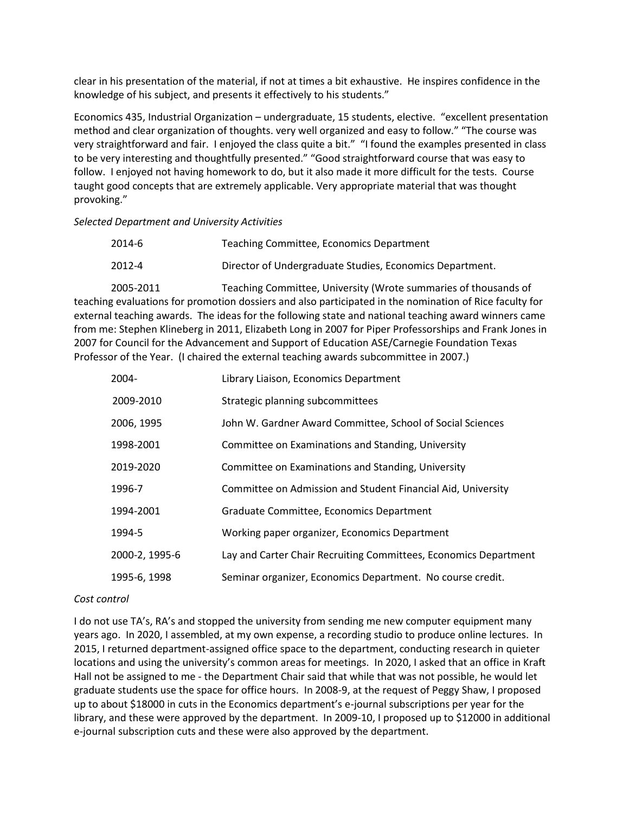clear in his presentation of the material, if not at times a bit exhaustive. He inspires confidence in the knowledge of his subject, and presents it effectively to his students."

Economics 435, Industrial Organization – undergraduate, 15 students, elective. "excellent presentation method and clear organization of thoughts. very well organized and easy to follow." "The course was very straightforward and fair. I enjoyed the class quite a bit." "I found the examples presented in class to be very interesting and thoughtfully presented." "Good straightforward course that was easy to follow. I enjoyed not having homework to do, but it also made it more difficult for the tests. Course taught good concepts that are extremely applicable. Very appropriate material that was thought provoking."

*Selected Department and University Activities*

| 2014-6 | Teaching Committee, Economics Department                 |
|--------|----------------------------------------------------------|
| 2012-4 | Director of Undergraduate Studies, Economics Department. |

2005-2011 Teaching Committee, University (Wrote summaries of thousands of teaching evaluations for promotion dossiers and also participated in the nomination of Rice faculty for external teaching awards. The ideas for the following state and national teaching award winners came from me: Stephen Klineberg in 2011, Elizabeth Long in 2007 for Piper Professorships and Frank Jones in 2007 for Council for the Advancement and Support of Education ASE/Carnegie Foundation Texas Professor of the Year. (I chaired the external teaching awards subcommittee in 2007.)

| $2004 -$       | Library Liaison, Economics Department                            |
|----------------|------------------------------------------------------------------|
| 2009-2010      | Strategic planning subcommittees                                 |
| 2006, 1995     | John W. Gardner Award Committee, School of Social Sciences       |
| 1998-2001      | Committee on Examinations and Standing, University               |
| 2019-2020      | Committee on Examinations and Standing, University               |
| 1996-7         | Committee on Admission and Student Financial Aid, University     |
| 1994-2001      | Graduate Committee, Economics Department                         |
| 1994-5         | Working paper organizer, Economics Department                    |
| 2000-2, 1995-6 | Lay and Carter Chair Recruiting Committees, Economics Department |
| 1995-6, 1998   | Seminar organizer, Economics Department. No course credit.       |

# *Cost control*

I do not use TA's, RA's and stopped the university from sending me new computer equipment many years ago. In 2020, I assembled, at my own expense, a recording studio to produce online lectures. In 2015, I returned department-assigned office space to the department, conducting research in quieter locations and using the university's common areas for meetings. In 2020, I asked that an office in Kraft Hall not be assigned to me - the Department Chair said that while that was not possible, he would let graduate students use the space for office hours. In 2008-9, at the request of Peggy Shaw, I proposed up to about \$18000 in cuts in the Economics department's e-journal subscriptions per year for the library, and these were approved by the department. In 2009-10, I proposed up to \$12000 in additional e-journal subscription cuts and these were also approved by the department.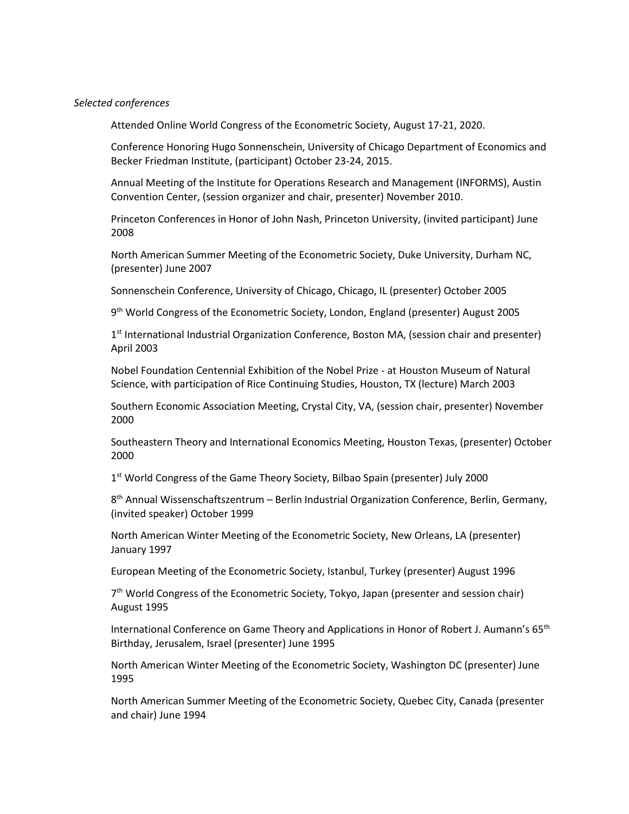#### *Selected conferences*

Attended Online World Congress of the Econometric Society, August 17-21, 2020.

Conference Honoring Hugo Sonnenschein, University of Chicago Department of Economics and Becker Friedman Institute, (participant) October 23-24, 2015.

Annual Meeting of the Institute for Operations Research and Management (INFORMS), Austin Convention Center, (session organizer and chair, presenter) November 2010.

Princeton Conferences in Honor of John Nash, Princeton University, (invited participant) June 2008

North American Summer Meeting of the Econometric Society, Duke University, Durham NC, (presenter) June 2007

Sonnenschein Conference, University of Chicago, Chicago, IL (presenter) October 2005

9<sup>th</sup> World Congress of the Econometric Society, London, England (presenter) August 2005

1<sup>st</sup> International Industrial Organization Conference, Boston MA, (session chair and presenter) April 2003

Nobel Foundation Centennial Exhibition of the Nobel Prize - at Houston Museum of Natural Science, with participation of Rice Continuing Studies, Houston, TX (lecture) March 2003

Southern Economic Association Meeting, Crystal City, VA, (session chair, presenter) November 2000

Southeastern Theory and International Economics Meeting, Houston Texas, (presenter) October 2000

1<sup>st</sup> World Congress of the Game Theory Society, Bilbao Spain (presenter) July 2000

8 th Annual Wissenschaftszentrum – Berlin Industrial Organization Conference, Berlin, Germany, (invited speaker) October 1999

North American Winter Meeting of the Econometric Society, New Orleans, LA (presenter) January 1997

European Meeting of the Econometric Society, Istanbul, Turkey (presenter) August 1996

7<sup>th</sup> World Congress of the Econometric Society, Tokyo, Japan (presenter and session chair) August 1995

International Conference on Game Theory and Applications in Honor of Robert J. Aumann's 65<sup>th</sup> Birthday, Jerusalem, Israel (presenter) June 1995

North American Winter Meeting of the Econometric Society, Washington DC (presenter) June 1995

North American Summer Meeting of the Econometric Society, Quebec City, Canada (presenter and chair) June 1994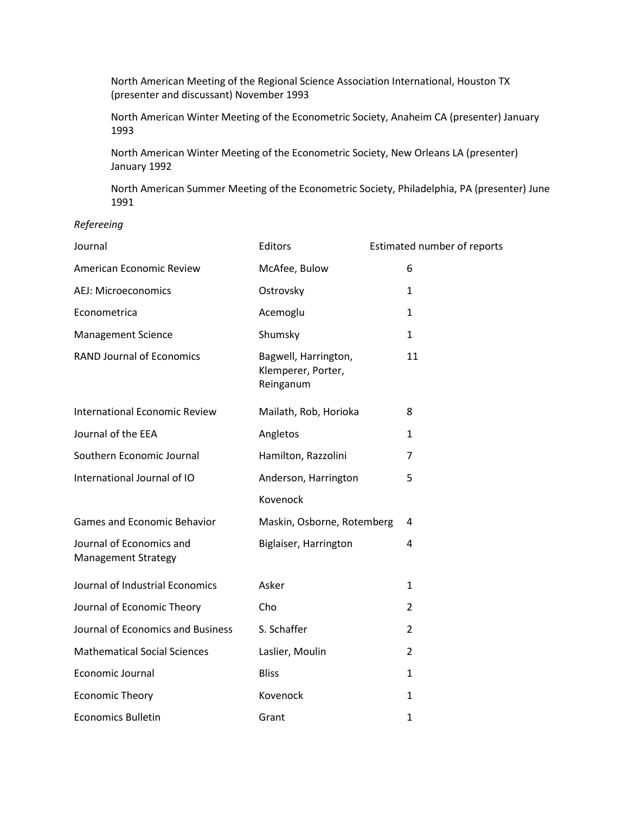North American Meeting of the Regional Science Association International, Houston TX (presenter and discussant) November 1993

North American Winter Meeting of the Econometric Society, Anaheim CA (presenter) January 1993

North American Winter Meeting of the Econometric Society, New Orleans LA (presenter) January 1992

North American Summer Meeting of the Econometric Society, Philadelphia, PA (presenter) June 1991

## *Refereeing*

| Journal                                                | Editors                                                 | Estimated number of reports |
|--------------------------------------------------------|---------------------------------------------------------|-----------------------------|
| American Economic Review                               | McAfee, Bulow                                           | 6                           |
| AEJ: Microeconomics                                    | Ostrovsky                                               | $\mathbf{1}$                |
| Econometrica                                           | Acemoglu                                                | $\mathbf{1}$                |
| <b>Management Science</b>                              | Shumsky                                                 | $\mathbf{1}$                |
| <b>RAND Journal of Economics</b>                       | Bagwell, Harrington,<br>Klemperer, Porter,<br>Reinganum | 11                          |
| <b>International Economic Review</b>                   | Mailath, Rob, Horioka                                   | 8                           |
| Journal of the EEA                                     | Angletos                                                | $\mathbf{1}$                |
| Southern Economic Journal                              | Hamilton, Razzolini                                     | 7                           |
| International Journal of IO                            | Anderson, Harrington                                    | 5                           |
|                                                        | Kovenock                                                |                             |
| <b>Games and Economic Behavior</b>                     | Maskin, Osborne, Rotemberg                              | 4                           |
| Journal of Economics and<br><b>Management Strategy</b> | Biglaiser, Harrington                                   | 4                           |
| Journal of Industrial Economics                        | Asker                                                   | $\mathbf{1}$                |
| Journal of Economic Theory                             | Cho                                                     | $\overline{2}$              |
| Journal of Economics and Business                      | S. Schaffer                                             | $\overline{2}$              |
| <b>Mathematical Social Sciences</b>                    | Laslier, Moulin                                         | $\overline{2}$              |
| Economic Journal                                       | <b>Bliss</b>                                            | $\mathbf{1}$                |
| <b>Economic Theory</b>                                 | Kovenock                                                | $\mathbf{1}$                |
| <b>Economics Bulletin</b>                              | Grant                                                   | $\mathbf{1}$                |